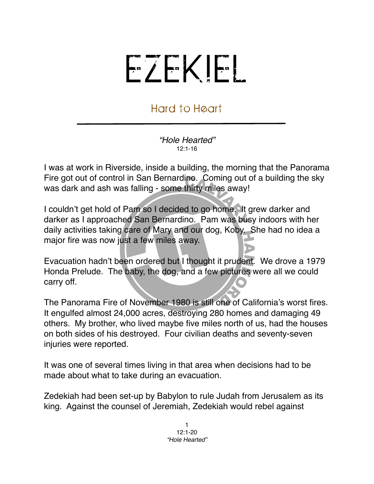## EZEKIEL

## Hard to Heart

*"Hole Hearted"*  $12:1-16$ 

I was at work in Riverside, inside a building, the morning that the Panorama Fire got out of control in San Bernardino. Coming out of a building the sky was dark and ash was falling - some thirty miles away!

I couldn't get hold of Pam so I decided to go home. It grew darker and darker as I approached San Bernardino. Pam was busy indoors with her daily activities taking care of Mary and our dog, Koby. She had no idea a major fire was now just a few miles away.

Evacuation hadn't been ordered but I thought it prudent. We drove a 1979 Honda Prelude. The baby, the dog, and a few pictures were all we could carry off.

The Panorama Fire of November 1980 is still one of California's worst fires. It engulfed almost 24,000 acres, destroying 280 homes and damaging 49 others. My brother, who lived maybe five miles north of us, had the houses on both sides of his destroyed. Four civilian deaths and seventy-seven injuries were reported.

It was one of several times living in that area when decisions had to be made about what to take during an evacuation.

Zedekiah had been set-up by Babylon to rule Judah from Jerusalem as its king. Against the counsel of Jeremiah, Zedekiah would rebel against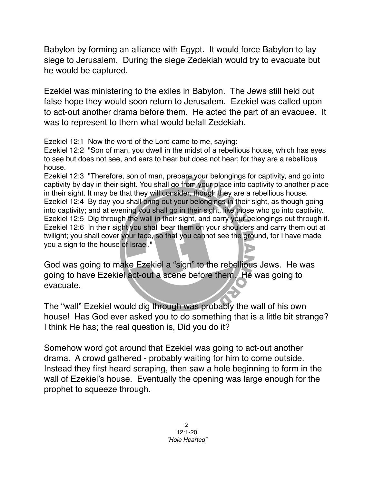Babylon by forming an alliance with Egypt. It would force Babylon to lay siege to Jerusalem. During the siege Zedekiah would try to evacuate but he would be captured.

Ezekiel was ministering to the exiles in Babylon. The Jews still held out false hope they would soon return to Jerusalem. Ezekiel was called upon to act-out another drama before them. He acted the part of an evacuee. It was to represent to them what would befall Zedekiah.

Ezekiel 12:1 Now the word of the Lord came to me, saying:

Ezekiel 12:2 "Son of man, you dwell in the midst of a rebellious house, which has eyes to see but does not see, and ears to hear but does not hear; for they are a rebellious house.

Ezekiel 12:3 "Therefore, son of man, prepare your belongings for captivity, and go into captivity by day in their sight. You shall go from your place into captivity to another place in their sight. It may be that they will consider, though they are a rebellious house. Ezekiel 12:4 By day you shall bring out your belongings in their sight, as though going into captivity; and at evening you shall go in their sight, like those who go into captivity. Ezekiel 12:5 Dig through the wall in their sight, and carry your belongings out through it. Ezekiel 12:6 In their sight you shall bear them on your shoulders and carry them out at twilight; you shall cover your face, so that you cannot see the ground, for I have made you a sign to the house of Israel."

God was going to make Ezekiel a "sign" to the rebellious Jews. He was going to have Ezekiel act-out a scene before them. He was going to evacuate.

The "wall" Ezekiel would dig through was probably the wall of his own house! Has God ever asked you to do something that is a little bit strange? I think He has; the real question is, Did you do it?

Somehow word got around that Ezekiel was going to act-out another drama. A crowd gathered - probably waiting for him to come outside. Instead they first heard scraping, then saw a hole beginning to form in the wall of Ezekiel's house. Eventually the opening was large enough for the prophet to squeeze through.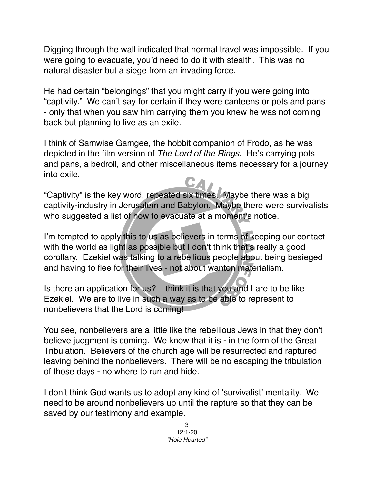Digging through the wall indicated that normal travel was impossible. If you were going to evacuate, you'd need to do it with stealth. This was no natural disaster but a siege from an invading force.

He had certain "belongings" that you might carry if you were going into "captivity." We can't say for certain if they were canteens or pots and pans - only that when you saw him carrying them you knew he was not coming back but planning to live as an exile.

I think of Samwise Gamgee, the hobbit companion of Frodo, as he was depicted in the film version of *The Lord of the Rings*. He's carrying pots and pans, a bedroll, and other miscellaneous items necessary for a journey into exile.

"Captivity" is the key word, repeated six times. Maybe there was a big captivity-industry in Jerusalem and Babylon. Maybe there were survivalists who suggested a list of how to evacuate at a moment's notice.

I'm tempted to apply this to us as believers in terms of keeping our contact with the world as light as possible but I don't think that's really a good corollary. Ezekiel was talking to a rebellious people about being besieged and having to flee for their lives - not about wanton materialism.

Is there an application for us? I think it is that you and I are to be like Ezekiel. We are to live in such a way as to be able to represent to nonbelievers that the Lord is coming!

You see, nonbelievers are a little like the rebellious Jews in that they don't believe judgment is coming. We know that it is - in the form of the Great Tribulation. Believers of the church age will be resurrected and raptured leaving behind the nonbelievers. There will be no escaping the tribulation of those days - no where to run and hide.

I don't think God wants us to adopt any kind of ʻsurvivalist' mentality. We need to be around nonbelievers up until the rapture so that they can be saved by our testimony and example.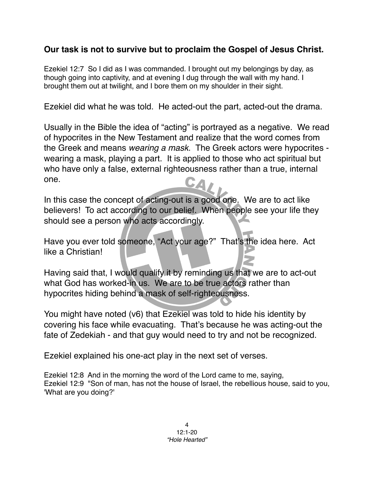## **Our task is not to survive but to proclaim the Gospel of Jesus Christ.**

Ezekiel 12:7 So I did as I was commanded. I brought out my belongings by day, as though going into captivity, and at evening I dug through the wall with my hand. I brought them out at twilight, and I bore them on my shoulder in their sight.

Ezekiel did what he was told. He acted-out the part, acted-out the drama.

Usually in the Bible the idea of "acting" is portrayed as a negative. We read of hypocrites in the New Testament and realize that the word comes from the Greek and means *wearing a mask*. The Greek actors were hypocrites wearing a mask, playing a part. It is applied to those who act spiritual but who have only a false, external righteousness rather than a true, internal one. CA

In this case the concept of acting-out is a good one. We are to act like believers! To act according to our belief. When people see your life they should see a person who acts accordingly.

Have you ever told someone, "Act your age?" That's the idea here. Act like a Christian!

Having said that, I would qualify it by reminding us that we are to act-out what God has worked-in us. We are to be true actors rather than hypocrites hiding behind a mask of self-righteousness.

You might have noted (v6) that Ezekiel was told to hide his identity by covering his face while evacuating. That's because he was acting-out the fate of Zedekiah - and that guy would need to try and not be recognized.

Ezekiel explained his one-act play in the next set of verses.

Ezekiel 12:8 And in the morning the word of the Lord came to me, saying, Ezekiel 12:9 "Son of man, has not the house of Israel, the rebellious house, said to you, 'What are you doing?'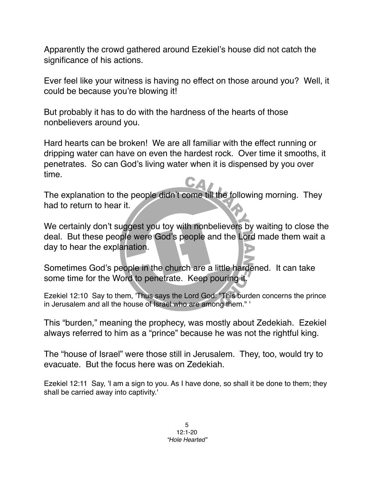Apparently the crowd gathered around Ezekiel's house did not catch the significance of his actions.

Ever feel like your witness is having no effect on those around you? Well, it could be because you're blowing it!

But probably it has to do with the hardness of the hearts of those nonbelievers around you.

Hard hearts can be broken! We are all familiar with the effect running or dripping water can have on even the hardest rock. Over time it smooths, it penetrates. So can God's living water when it is dispensed by you over time.

The explanation to the people didn't come till the following morning. They had to return to hear it.

We certainly don't suggest you toy with nonbelievers by waiting to close the deal. But these people were God's people and the Lord made them wait a day to hear the explanation.

Sometimes God's people in the church are a little hardened. It can take some time for the Word to penetrate. Keep pouring it.

Ezekiel 12:10 Say to them, 'Thus says the Lord God: "This burden concerns the prince in Jerusalem and all the house of Israel who are among them." '

This "burden," meaning the prophecy, was mostly about Zedekiah. Ezekiel always referred to him as a "prince" because he was not the rightful king.

The "house of Israel" were those still in Jerusalem. They, too, would try to evacuate. But the focus here was on Zedekiah.

Ezekiel 12:11 Say, 'I am a sign to you. As I have done, so shall it be done to them; they shall be carried away into captivity.'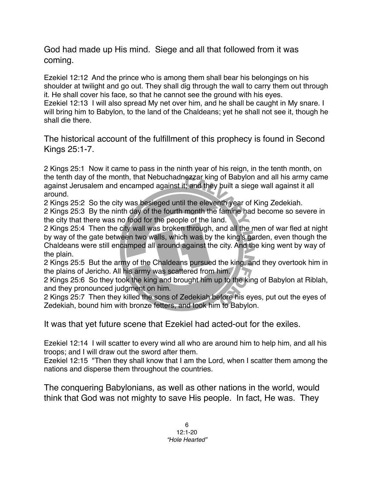God had made up His mind. Siege and all that followed from it was coming.

Ezekiel 12:12 And the prince who is among them shall bear his belongings on his shoulder at twilight and go out. They shall dig through the wall to carry them out through it. He shall cover his face, so that he cannot see the ground with his eyes. Ezekiel 12:13 I will also spread My net over him, and he shall be caught in My snare. I will bring him to Babylon, to the land of the Chaldeans; yet he shall not see it, though he shall die there.

The historical account of the fulfillment of this prophecy is found in Second Kings 25:1-7.

2 Kings 25:1 Now it came to pass in the ninth year of his reign, in the tenth month, on the tenth day of the month, that Nebuchadnezzar king of Babylon and all his army came against Jerusalem and encamped against it; and they built a siege wall against it all around.

2 Kings 25:2 So the city was besieged until the eleventh year of King Zedekiah.

2 Kings 25:3 By the ninth day of the fourth month the famine had become so severe in the city that there was no food for the people of the land.

2 Kings 25:4 Then the city wall was broken through, and all the men of war fled at night by way of the gate between two walls, which was by the king's garden, even though the Chaldeans were still encamped all around against the city. And the king went by way of the plain.

2 Kings 25:5 But the army of the Chaldeans pursued the king, and they overtook him in the plains of Jericho. All his army was scattered from him.

2 Kings 25:6 So they took the king and brought him up to the king of Babylon at Riblah, and they pronounced judgment on him.

2 Kings 25:7 Then they killed the sons of Zedekiah before his eyes, put out the eyes of Zedekiah, bound him with bronze fetters, and took him to Babylon.

It was that yet future scene that Ezekiel had acted-out for the exiles.

Ezekiel 12:14 I will scatter to every wind all who are around him to help him, and all his troops; and I will draw out the sword after them.

Ezekiel 12:15 "Then they shall know that I am the Lord, when I scatter them among the nations and disperse them throughout the countries.

The conquering Babylonians, as well as other nations in the world, would think that God was not mighty to save His people. In fact, He was. They